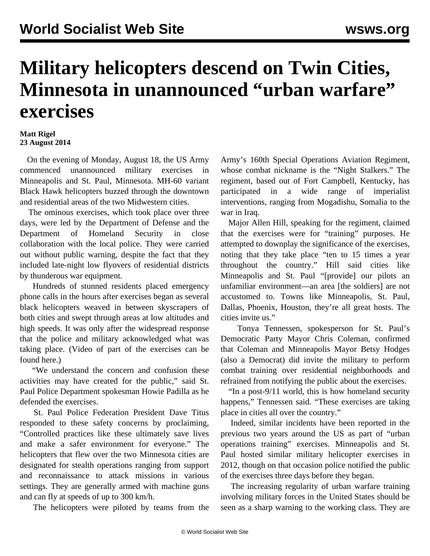## **Military helicopters descend on Twin Cities, Minnesota in unannounced "urban warfare" exercises**

## **Matt Rigel 23 August 2014**

 On the evening of Monday, August 18, the US Army commenced unannounced military exercises in Minneapolis and St. Paul, Minnesota. MH-60 variant Black Hawk helicopters buzzed through the downtown and residential areas of the two Midwestern cities.

 The ominous exercises, which took place over three days, were led by the Department of Defense and the Department of Homeland Security in close collaboration with the local police. They were carried out without public warning, despite the fact that they included late-night low flyovers of residential districts by thunderous war equipment.

 Hundreds of stunned residents placed emergency phone calls in the hours after exercises began as several black helicopters weaved in between skyscrapers of both cities and swept through areas at low altitudes and high speeds. It was only after the widespread response that the police and military acknowledged what was taking place. (Video of part of the exercises can be found [here.](https://www.youtube.com/watch?v=aiQ2-nCLE4Y))

 "We understand the concern and confusion these activities may have created for the public," said St. Paul Police Department spokesman Howie Padilla as he defended the exercises.

 St. Paul Police Federation President Dave Titus responded to these safety concerns by proclaiming, "Controlled practices like these ultimately save lives and make a safer environment for everyone." The helicopters that flew over the two Minnesota cities are designated for stealth operations ranging from support and reconnaissance to attack missions in various settings. They are generally armed with machine guns and can fly at speeds of up to 300 km/h.

The helicopters were piloted by teams from the

Army's 160th Special Operations Aviation Regiment, whose combat nickname is the "Night Stalkers." The regiment, based out of Fort Campbell, Kentucky, has participated in a wide range of imperialist interventions, ranging from Mogadishu, Somalia to the war in Iraq.

 Major Allen Hill, speaking for the regiment, claimed that the exercises were for "training" purposes. He attempted to downplay the significance of the exercises, noting that they take place "ten to 15 times a year throughout the country." Hill said cities like Minneapolis and St. Paul "[provide] our pilots an unfamiliar environment—an area [the soldiers] are not accustomed to. Towns like Minneapolis, St. Paul, Dallas, Phoenix, Houston, they're all great hosts. The cities invite us."

 Tonya Tennessen, spokesperson for St. Paul's Democratic Party Mayor Chris Coleman, confirmed that Coleman and Minneapolis Mayor Betsy Hodges (also a Democrat) did invite the military to perform combat training over residential neighborhoods and refrained from notifying the public about the exercises.

 "In a post-9/11 world, this is how homeland security happens," Tennessen said. "These exercises are taking place in cities all over the country."

 Indeed, similar incidents have been reported in the previous two years around the US as part of "urban operations training" exercises. Minneapolis and St. Paul hosted similar military helicopter exercises in 2012, though on that occasion police notified the public of the exercises three days before they began.

 The increasing regularity of urban warfare training involving military forces in the United States should be seen as a sharp warning to the working class. They are